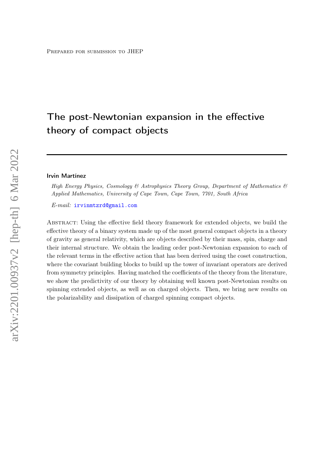# The post-Newtonian expansion in the effective theory of compact objects

#### Irvin Martínez

High Energy Physics, Cosmology & Astrophysics Theory Group, Department of Mathematics & Applied Mathematics, University of Cape Town, Cape Town, 7701, South Africa

E-mail: [irvinmtzrd@gmail.com](mailto:irvinmtzrd@gmail.com)

Abstract: Using the effective field theory framework for extended objects, we build the effective theory of a binary system made up of the most general compact objects in a theory of gravity as general relativity, which are objects described by their mass, spin, charge and their internal structure. We obtain the leading order post-Newtonian expansion to each of the relevant terms in the effective action that has been derived using the coset construction, where the covariant building blocks to build up the tower of invariant operators are derived from symmetry principles. Having matched the coefficients of the theory from the literature, we show the predictivity of our theory by obtaining well known post-Newtonian results on spinning extended objects, as well as on charged objects. Then, we bring new results on the polarizability and dissipation of charged spinning compact objects.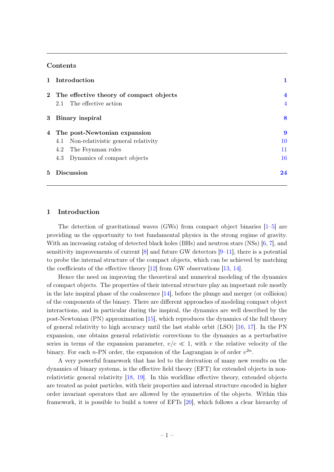# Contents

|   | 1 Introduction                             |                |
|---|--------------------------------------------|----------------|
|   | 2 The effective theory of compact objects  | 4              |
|   | The effective action<br>2.1                | $\overline{4}$ |
|   | 3 Binary inspiral                          | 8              |
|   | 4 The post-Newtonian expansion             | 9              |
|   | Non-relativistic general relativity<br>4.1 | 10             |
|   | The Feynman rules<br>4.2                   | 11             |
|   | Dynamics of compact objects<br>4.3         | 16             |
| 5 | Discussion                                 | 24             |

# <span id="page-1-0"></span>1 Introduction

The detection of gravitational waves (GWs) from compact object binaries [\[1–](#page-25-0)[5\]](#page-25-1) are providing us the opportunity to test fundamental physics in the strong regime of gravity. With an increasing catalog of detected black holes (BHs) and neutron stars (NSs) [\[6,](#page-25-2) [7\]](#page-25-3), and sensitivity improvements of current  $[8]$  and future GW detectors  $[9-11]$  $[9-11]$ , there is a potential to probe the internal structure of the compact objects, which can be achieved by matching the coefficients of the effective theory [\[12\]](#page-26-2) from GW observations [\[13,](#page-26-3) [14\]](#page-26-4).

Hence the need on improving the theoretical and numerical modeling of the dynamics of compact objects. The properties of their internal structure play an important role mostly in the late inspiral phase of the coalescence  $[14]$ , before the plunge and merger (or collision) of the components of the binary. There are different approaches of modeling compact object interactions, and in particular during the inspiral, the dynamics are well described by the post-Newtonian (PN) approximation [\[15\]](#page-26-5), which reproduces the dynamics of the full theory of general relativity to high accuracy until the last stable orbit (LSO) [\[16,](#page-26-6) [17\]](#page-26-7). In the PN expansion, one obtains general relativistic corrections to the dynamics as a perturbative series in terms of the expansion parameter,  $v/c \ll 1$ , with v the relative velocity of the binary. For each *n*-PN order, the expansion of the Lagrangian is of order  $v^{2n}$ .

A very powerful framework that has led to the derivation of many new results on the dynamics of binary systems, is the effective field theory (EFT) for extended objects in nonrelativistic general relativity [\[18,](#page-26-8) [19\]](#page-26-9). In this worldline effective theory, extended objects are treated as point particles, with their properties and internal structure encoded in higher order invariant operators that are allowed by the symmetries of the objects. Within this framework, it is possible to build a tower of EFTs [\[20\]](#page-26-10), which follows a clear hierarchy of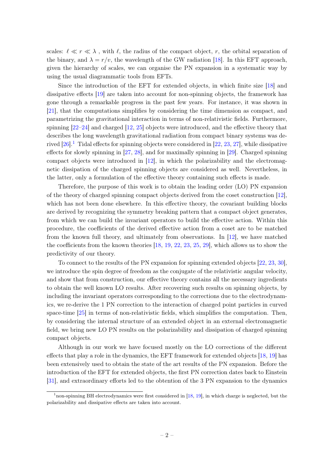scales:  $\ell \ll r \ll \lambda$ , with  $\ell$ , the radius of the compact object, r, the orbital separation of the binary, and  $\lambda = r/v$ , the wavelength of the GW radiation [\[18\]](#page-26-8). In this EFT approach, given the hierarchy of scales, we can organise the PN expansion in a systematic way by using the usual diagrammatic tools from EFTs.

Since the introduction of the EFT for extended objects, in which finite size [\[18\]](#page-26-8) and dissipative effects [\[19\]](#page-26-9) are taken into account for non-spinning objects, the framework has gone through a remarkable progress in the past few years. For instance, it was shown in [\[21\]](#page-26-11), that the computations simplifies by considering the time dimension as compact, and parametrizing the gravitational interaction in terms of non-relativistic fields. Furthermore, spinning [\[22–](#page-26-12)[24\]](#page-26-13) and charged [\[12,](#page-26-2) [25\]](#page-26-14) objects were introduced, and the effective theory that describes the long wavelength gravitational radiation from compact binary systems was derived  $[26]$ <sup>[1](#page-2-0)</sup>. Tidal effects for spinning objects were considered in  $[22, 23, 27]$  $[22, 23, 27]$  $[22, 23, 27]$  $[22, 23, 27]$  $[22, 23, 27]$ , while dissipative effects for slowly spinning in [\[27,](#page-26-17) [28\]](#page-26-18), and for maximally spinning in [\[29\]](#page-27-0). Charged spinning compact objects were introduced in [\[12\]](#page-26-2), in which the polarizability and the electromagnetic dissipation of the charged spinning objects are considered as well. Nevertheless, in the latter, only a formulation of the effective theory containing such effects is made.

Therefore, the purpose of this work is to obtain the leading order (LO) PN expansion of the theory of charged spinning compact objects derived from the coset construction [\[12\]](#page-26-2), which has not been done elsewhere. In this effective theory, the covariant building blocks are derived by recognizing the symmetry breaking pattern that a compact object generates, from which we can build the invariant operators to build the effective action. Within this procedure, the coefficients of the derived effective action from a coset are to be matched from the known full theory, and ultimately from observations. In [\[12\]](#page-26-2), we have matched the coefficients from the known theories [\[18,](#page-26-8) [19,](#page-26-9) [22,](#page-26-12) [23,](#page-26-16) [25,](#page-26-14) [29\]](#page-27-0), which allows us to show the predictivity of our theory.

To connect to the results of the PN expansion for spinning extended objects [\[22,](#page-26-12) [23,](#page-26-16) [30\]](#page-27-1), we introduce the spin degree of freedom as the conjugate of the relativistic angular velocity, and show that from construction, our effective theory contains all the necessary ingredients to obtain the well known LO results. After recovering such results on spinning objects, by including the invariant operators corresponding to the corrections due to the electrodynamics, we re-derive the 1 PN correction to the interaction of charged point particles in curved space-time [\[25\]](#page-26-14) in terms of non-relativistic fields, which simplifies the computation. Then, by considering the internal structure of an extended object in an external electromagnetic field, we bring new LO PN results on the polarizability and dissipation of charged spinning compact objects.

Although in our work we have focused mostly on the LO corrections of the different effects that play a role in the dynamics, the EFT framework for extended objects [\[18,](#page-26-8) [19\]](#page-26-9) has been extensively used to obtain the state of the art results of the PN expansion. Before the introduction of the EFT for extended objects, the first PN correction dates back to Einstein [\[31\]](#page-27-2), and extraordinary efforts led to the obtention of the 3 PN expansion to the dynamics

<span id="page-2-0"></span> $1$ non-spinning BH electrodynamics were first considered in [\[18,](#page-26-8) [19\]](#page-26-9), in which charge is neglected, but the polarizability and dissipative effects are taken into account.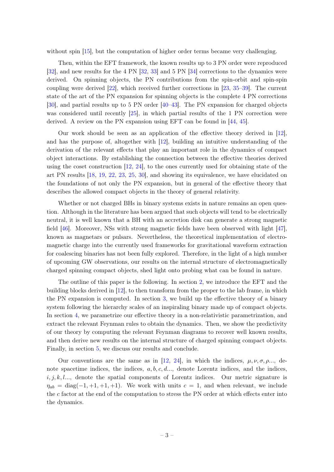without spin [\[15\]](#page-26-5), but the computation of higher order terms became very challenging.

Then, within the EFT framework, the known results up to 3 PN order were reproduced [\[32\]](#page-27-3), and new results for the 4 PN [\[32,](#page-27-3) [33\]](#page-27-4) and 5 PN [\[34\]](#page-27-5) corrections to the dynamics were derived. On spinning objects, the PN contributions from the spin-orbit and spin-spin coupling were derived [\[22\]](#page-26-12), which received further corrections in [\[23,](#page-26-16) [35–](#page-27-6)[39\]](#page-27-7). The current state of the art of the PN expansion for spinning objects is the complete 4 PN corrections [\[30\]](#page-27-1), and partial results up to 5 PN order [\[40](#page-27-8)[–43\]](#page-27-9). The PN expansion for charged objects was considered until recently [\[25\]](#page-26-14), in which partial results of the 1 PN correction were derived. A review on the PN expansion using EFT can be found in [\[44,](#page-27-10) [45\]](#page-27-11).

Our work should be seen as an application of the effective theory derived in [\[12\]](#page-26-2), and has the purpose of, altogether with [\[12\]](#page-26-2), building an intuitive understanding of the derivation of the relevant effects that play an important role in the dynamics of compact object interactions. By establishing the connection between the effective theories derived using the coset construction [\[12,](#page-26-2) [24\]](#page-26-13), to the ones currently used for obtaining state of the art PN results [\[18,](#page-26-8) [19,](#page-26-9) [22,](#page-26-12) [23,](#page-26-16) [25,](#page-26-14) [30\]](#page-27-1), and showing its equivalence, we have elucidated on the foundations of not only the PN expansion, but in general of the effective theory that describes the allowed compact objects in the theory of general relativity.

Whether or not charged BHs in binary systems exists in nature remains an open question. Although in the literature has been argued that such objects will tend to be electrically neutral, it is well known that a BH with an accretion disk can generate a strong magnetic field [\[46\]](#page-27-12). Moreover, NSs with strong magnetic fields have been observed with light [\[47\]](#page-27-13), known as magnetars or pulsars. Nevertheless, the theoretical implementation of electromagnetic charge into the currently used frameworks for gravitational waveform extraction for coalescing binaries has not been fully explored. Therefore, in the light of a high number of upcoming GW observations, our results on the internal structure of electromagnetically charged spinning compact objects, shed light onto probing what can be found in nature.

The outline of this paper is the following. In section [2,](#page-4-0) we introduce the EFT and the building blocks derived in [\[12\]](#page-26-2), to then transform from the proper to the lab frame, in which the PN expansion is computed. In section [3,](#page-8-0) we build up the effective theory of a binary system following the hierarchy scales of an inspiraling binary made up of compact objects. In section [4,](#page-9-0) we parametrize our effective theory in a non-relativistic parametrization, and extract the relevant Feynman rules to obtain the dynamics. Then, we show the predictivity of our theory by computing the relevant Feynman diagrams to recover well known results, and then derive new results on the internal structure of charged spinning compact objects. Finally, in section [5,](#page-24-0) we discuss our results and conclude.

Our conventions are the same as in [\[12,](#page-26-2) [24\]](#page-26-13), in which the indices,  $\mu, \nu, \sigma, \rho, \ldots$ , denote spacetime indices, the indices,  $a, b, c, d...$ , denote Lorentz indices, and the indices,  $i, j, k, l, \ldots$ , denote the spatial components of Lorentz indices. Our metric signature is  $\eta_{ab} = \text{diag}(-1, +1, +1, +1)$ . We work with units  $c = 1$ , and when relevant, we include the  $c$  factor at the end of the computation to stress the PN order at which effects enter into the dynamics.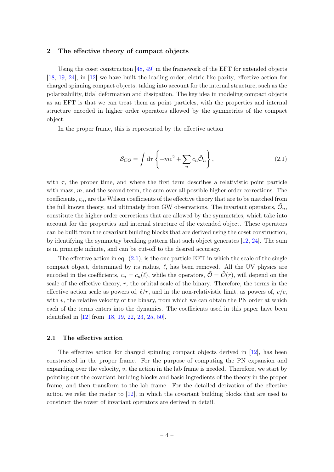# <span id="page-4-0"></span>2 The effective theory of compact objects

Using the coset construction  $[48, 49]$  $[48, 49]$  $[48, 49]$  in the framework of the EFT for extended objects [\[18,](#page-26-8) [19,](#page-26-9) [24\]](#page-26-13), in [\[12\]](#page-26-2) we have built the leading order, eletric-like parity, effective action for charged spinning compact objects, taking into account for the internal structure, such as the polarizability, tidal deformation and dissipation. The key idea in modeling compact objects as an EFT is that we can treat them as point particles, with the properties and internal structure encoded in higher order operators allowed by the symmetries of the compact object.

In the proper frame, this is represented by the effective action

<span id="page-4-2"></span>
$$
S_{CO} = \int d\tau \left\{ -mc^2 + \sum_n c_n \tilde{\mathcal{O}}_n \right\},\tag{2.1}
$$

with  $\tau$ , the proper time, and where the first term describes a relativistic point particle with mass,  $m$ , and the second term, the sum over all possible higher order corrections. The coefficients,  $c_n$ , are the Wilson coefficients of the effective theory that are to be matched from the full known theory, and ultimately from GW observations. The invariant operators,  $\tilde{\mathcal{O}}_n$ , constitute the higher order corrections that are allowed by the symmetries, which take into account for the properties and internal structure of the extended object. These operators can be built from the covariant building blocks that are derived using the coset construction, by identifying the symmetry breaking pattern that such object generates [\[12,](#page-26-2) [24\]](#page-26-13). The sum is in principle infinite, and can be cut-off to the desired accuracy.

The effective action in eq.  $(2.1)$ , is the one particle EFT in which the scale of the single compact object, determined by its radius,  $\ell$ , has been removed. All the UV physics are encoded in the coefficients,  $c_n = c_n(\ell)$ , while the operators,  $\tilde{\mathcal{O}} = \tilde{\mathcal{O}}(r)$ , will depend on the scale of the effective theory,  $r$ , the orbital scale of the binary. Therefore, the terms in the effective action scale as powers of,  $\ell/r$ , and in the non-relativistic limit, as powers of,  $v/c$ , with  $v$ , the relative velocity of the binary, from which we can obtain the PN order at which each of the terms enters into the dynamics. The coefficients used in this paper have been identified in [\[12\]](#page-26-2) from [\[18,](#page-26-8) [19,](#page-26-9) [22,](#page-26-12) [23,](#page-26-16) [25,](#page-26-14) [50\]](#page-28-2).

#### <span id="page-4-1"></span>2.1 The effective action

The effective action for charged spinning compact objects derived in [\[12\]](#page-26-2), has been constructed in the proper frame. For the purpose of computing the PN expansion and expanding over the velocity,  $v$ , the action in the lab frame is needed. Therefore, we start by pointing out the covariant building blocks and basic ingredients of the theory in the proper frame, and then transform to the lab frame. For the detailed derivation of the effective action we refer the reader to [\[12\]](#page-26-2), in which the covariant building blocks that are used to construct the tower of invariant operators are derived in detail.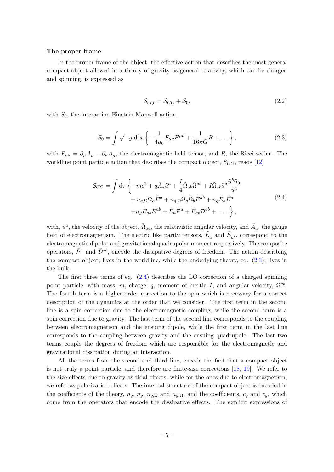## The proper frame

In the proper frame of the object, the effective action that describes the most general compact object allowed in a theory of gravity as general relativity, which can be charged and spinning, is expressed as

<span id="page-5-1"></span><span id="page-5-0"></span>
$$
\mathcal{S}_{eff} = \mathcal{S}_{CO} + \mathcal{S}_0,\tag{2.2}
$$

with  $S_0$ , the interaction Einstein-Maxwell action,

$$
S_0 = \int \sqrt{-g} \, d^4x \left\{ -\frac{1}{4\mu_0} F_{\mu\nu} F^{\mu\nu} + \frac{1}{16\pi G} R + \dots \right\},\tag{2.3}
$$

with  $F_{\mu\nu} = \partial_{\mu}A_{\nu} - \partial_{\nu}A_{\mu}$ , the electromagnetic field tensor, and R, the Ricci scalar. The worldline point particle action that describes the compact object,  $S_{CO}$ , reads [\[12\]](#page-26-2)

$$
\mathcal{S}_{CO} = \int d\tau \left\{ -mc^2 + q\tilde{A}_a \tilde{u}^a + \frac{I}{4} \tilde{\Omega}_{ab} \tilde{\Omega}^{ab} + I \tilde{\Omega}_{ab} \tilde{a}^a \frac{\tilde{u}^b \tilde{u}_0}{\tilde{u}^2} \right.\n+ n_{q,\Omega} \tilde{\Omega}_a \tilde{E}^a + n_{g,\Omega} \tilde{\Omega}_a \tilde{\Omega}_b \tilde{E}^{ab} + n_q \tilde{E}_a \tilde{E}^a \right.\n+ n_g \tilde{E}_{ab} \tilde{E}^{ab} + \tilde{E}_a \tilde{\mathcal{P}}^a + \tilde{E}_{ab} \tilde{\mathcal{P}}^{ab} + \dots \right\},
$$
\n(2.4)

with,  $\tilde{u}^a$ , the velocity of the object,  $\tilde{\Omega}_{ab}$ , the relativistic angular velocity, and  $\tilde{A}_a$ , the gauge field of electromagnetism. The electric like parity tensors,  $\tilde{E}_a$  and  $\tilde{E}_{ab}$ , correspond to the electromagnetic dipolar and gravitational quadrupolar moment respectively. The composite operators,  $\tilde{\mathcal{P}}^a$  and  $\tilde{\mathcal{D}}^{ab}$ , encode the dissipative degrees of freedom. The action describing the compact object, lives in the worldline, while the underlying theory, eq. [\(2.3\)](#page-5-0), lives in the bulk.

The first three terms of eq. [\(2.4\)](#page-5-1) describes the LO correction of a charged spinning point particle, with mass, m, charge, q, moment of inertia I, and angular velocity,  $\tilde{\Omega}^{ab}$ . The fourth term is a higher order correction to the spin which is necessary for a correct description of the dynamics at the order that we consider. The first term in the second line is a spin correction due to the electromagnetic coupling, while the second term is a spin correction due to gravity. The last term of the second line corresponds to the coupling between electromagnetism and the ensuing dipole, while the first term in the last line corresponds to the coupling between gravity and the ensuing quadrupole. The last two terms couple the degrees of freedom which are responsible for the electromagnetic and gravitational dissipation during an interaction.

All the terms from the second and third line, encode the fact that a compact object is not truly a point particle, and therefore are finite-size corrections [\[18,](#page-26-8) [19\]](#page-26-9). We refer to the size effects due to gravity as tidal effects, while for the ones due to electromagnetism, we refer as polarization effects. The internal structure of the compact object is encoded in the coefficients of the theory,  $n_q$ ,  $n_q$ ,  $n_q$ , and  $n_{g,\Omega}$ , and the coefficients,  $c_q$  and  $c_g$ , which come from the operators that encode the dissipative effects. The explicit expressions of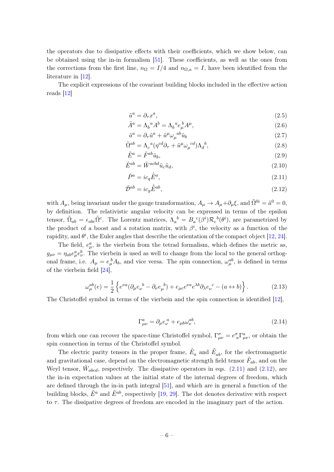the operators due to dissipative effects with their coefficients, which we show below, can be obtained using the in-in formalism [\[51\]](#page-28-3). These coefficients, as well as the ones from the corrections from the first line,  $n_{\Omega} = I/4$  and  $n_{\Omega,a} = I$ , have been identified from the literature in [\[12\]](#page-26-2).

The explicit expressions of the covariant building blocks included in the effective action reads [\[12\]](#page-26-2)

$$
\tilde{u}^a = \partial_\tau x^a,\tag{2.5}
$$

$$
\tilde{A}^a = \Lambda_b{}^a A^b = \Lambda_b{}^a e^b_\mu A^\mu,\tag{2.6}
$$

$$
\tilde{a}^a = \partial_\tau \tilde{u}^a + \tilde{u}^\mu \omega_\mu{}^{ab} \tilde{u}_b \tag{2.7}
$$

$$
\tilde{\Omega}^{ab} = \Lambda_c{}^a (\eta^{cd} \partial_\tau + \tilde{u}^\mu \omega_\mu{}^{cd}) \Lambda_d{}^b,\tag{2.8}
$$

$$
\tilde{E}^a = \tilde{F}^{ab}\tilde{u}_b,\tag{2.9}
$$

$$
\tilde{E}^{ab} = \tilde{W}^{acbd} \tilde{u}_c \tilde{u}_d,\tag{2.10}
$$

<span id="page-6-1"></span><span id="page-6-0"></span>
$$
\tilde{P}^a = ic_q \dot{\tilde{E}}^a,\tag{2.11}
$$

$$
\tilde{\mathcal{D}}^{ab} = ic_g \dot{\tilde{E}}^{ab},\tag{2.12}
$$

with  $A_\mu$ , being invariant under the gauge transformation,  $A_\mu \to A_\mu + \partial_\mu \xi$ , and  $\tilde{\Omega}^{0i} = \tilde{a}^0 = 0$ , by definition. The relativistic angular velocity can be expressed in terms of the epsilon tensor,  $\tilde{\Omega}_{ab} = \epsilon_{abc} \tilde{\Omega}^c$ . The Lorentz matrices,  $\Lambda_a{}^b = B_a{}^c(\beta^i) \mathcal{R}_c{}^b(\theta^i)$ , are parametrized by the product of a boost and a rotation matrix, with  $\beta^i$ , the velocity as a function of the rapidity, and  $\theta^i$ , the Euler angles that describe the orientation of the compact object [\[12,](#page-26-2) [24\]](#page-26-13).

The field,  $e^a_\mu$ , is the vierbein from the tetrad formalism, which defines the metric as,  $g_{\mu\nu} = \eta_{ab} e^a_\mu e^b_\nu$ . The vierbein is used as well to change from the local to the general orthogonal frame, i.e.  $A_{\mu} = e_{\mu}^{b} A_{b}$ , and vice versa. The spin connection,  $\omega_{\mu}^{ab}$ , is defined in terms of the vierbein field [\[24\]](#page-26-13),

$$
\omega_{\mu}^{ab}(e) = \frac{1}{2} \left\{ e^{\nu a} (\partial_{\mu} e_{\nu}^{\ \ b} - \partial_{\nu} e_{\mu}^{\ \ b}) + e_{\mu c} e^{\nu a} e^{\lambda b} \partial_{\lambda} e_{\nu}^{\ \ c} - (a \leftrightarrow b) \right\}.
$$
 (2.13)

The Christoffel symbol in terms of the vierbein and the spin connection is identified [\[12\]](#page-26-2),

<span id="page-6-2"></span>
$$
\Gamma^{a}_{\mu\nu} = \partial_{\mu} e_{\nu}^{a} + e_{\mu b} \omega_{\nu}^{ab},\tag{2.14}
$$

from which one can recover the space-time Christoffel symbol,  $\Gamma^{\sigma}_{\mu\nu} = e^{\sigma}_{\ a}\Gamma^a_{\mu\nu}$ , or obtain the spin connection in terms of the Christoffel symbol.

The electric parity tensors in the proper frame,  $\tilde{E}_a$  and  $\tilde{E}_{ab}$ , for the electromagnetic and gravitational case, depend on the electromagnetic strength field tensor  $\tilde{F}_{ab}$ , and on the Weyl tensor,  $\tilde{W}_{abcd}$ , respectively. The dissipative operators in eqs. [\(2.11\)](#page-6-0) and [\(2.12\)](#page-6-1), are the in-in expectation values at the initial state of the internal degrees of freedom, which are defined through the in-in path integral [\[51\]](#page-28-3), and which are in general a function of the building blocks,  $\tilde{E}^a$  and  $\tilde{E}^{ab}$ , respectively [\[19,](#page-26-9) [29\]](#page-27-0). The dot denotes derivative with respect to  $\tau$ . The dissipative degrees of freedom are encoded in the imaginary part of the action.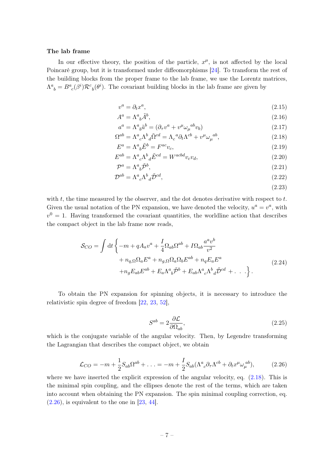# The lab frame

In our effective theory, the position of the particle,  $x^{\mu}$ , is not affected by the local Poincaré group, but it is transformed under diffeomorphisms [\[24\]](#page-26-13). To transform the rest of the building blocks from the proper frame to the lab frame, we use the Lorentz matrices,  $\Lambda^a{}_b = B^a{}_c(\beta^i)\mathcal{R}^c{}_b(\theta^i)$ . The covariant building blocks in the lab frame are given by

$$
v^a = \partial_t x^a,\tag{2.15}
$$

$$
A^a = \Lambda^a{}_b \tilde{A}^b,\tag{2.16}
$$

$$
a^{a} = \Lambda^{a}{}_{b}\tilde{a}^{b} = (\partial_{\tau}v^{a} + v^{\mu}\omega_{\mu}{}^{ab}v_{b})
$$
\n(2.17)

$$
\Omega^{ab} = \Lambda^a{}_c \Lambda^b{}_d \tilde{\Omega}^{cd} = \Lambda_c{}^a \partial_t \Lambda^{cb} + v^\mu \omega_\mu{}^{ab},\tag{2.18}
$$

$$
E^a = \Lambda^a{}_b \tilde{E}^b = F^{ac} v_c,\tag{2.19}
$$

$$
E^{ab} = \Lambda^a{}_c \Lambda^b{}_d \tilde{E}^{cd} = W^{acbd} v_c v_d,
$$
\n
$$
(2.20)
$$

$$
\mathcal{P}^a = \Lambda^a{}_b \tilde{\mathcal{P}}^b,\tag{2.21}
$$

$$
\mathcal{D}^{ab} = \Lambda^a{}_c \Lambda^b{}_d \tilde{\mathcal{D}}^{cd},\tag{2.22}
$$

<span id="page-7-2"></span><span id="page-7-0"></span>
$$
(2.23)
$$

with  $t$ , the time measured by the observer, and the dot denotes derivative with respect to  $t$ . Given the usual notation of the PN expansion, we have denoted the velocity,  $u^a = v^a$ , with  $v<sup>0</sup> = 1$ . Having transformed the covariant quantities, the worldline action that describes the compact object in the lab frame now reads,

$$
\mathcal{S}_{CO} = \int dt \left\{ -m + qA_a v^a + \frac{I}{4} \Omega_{ab} \Omega^{ab} + I \Omega_{ab} \frac{a^a v^b}{v^2} + n_{q,\Omega} \Omega_a E^a + n_{g,\Omega} \Omega_a \Omega_b E^{ab} + n_q E_a E^a + n_g E_{ab} E^{ab} + E_a \Lambda^a{}_b \tilde{\mathcal{P}}^b + E_{ab} \Lambda^a{}_c \Lambda^b{}_d \tilde{\mathcal{P}}^{cd} + \dots \right\}.
$$
\n(2.24)

To obtain the PN expansion for spinning objects, it is necessary to introduce the relativistic spin degree of freedom [\[22,](#page-26-12) [23,](#page-26-16) [52\]](#page-28-4),

<span id="page-7-1"></span>
$$
S^{ab} = 2 \frac{\partial \mathcal{L}}{\partial \Omega_{ab}},\tag{2.25}
$$

which is the conjugate variable of the angular velocity. Then, by Legendre transforming the Lagrangian that describes the compact object, we obtain

$$
\mathcal{L}_{CO} = -m + \frac{1}{2} S_{ab} \Omega^{ab} + \dots = -m + \frac{I}{2} S_{ab} (\Lambda^a{}_c \partial_\tau \Lambda^{cb} + \partial_t x^\mu \omega_\mu^{ab}), \tag{2.26}
$$

where we have inserted the explicit expression of the angular velocity, eq.  $(2.18)$ . This is the minimal spin coupling, and the ellipses denote the rest of the terms, which are taken into account when obtaining the PN expansion. The spin minimal coupling correction, eq.  $(2.26)$ , is equivalent to the one in  $[23, 44]$  $[23, 44]$  $[23, 44]$ .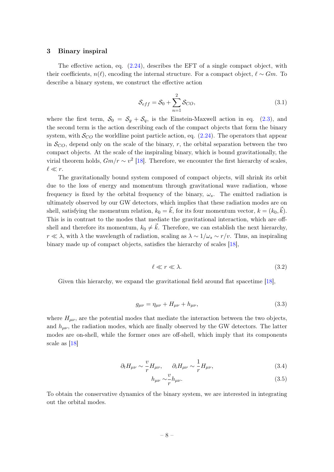## <span id="page-8-0"></span>3 Binary inspiral

The effective action, eq.  $(2.24)$ , describes the EFT of a single compact object, with their coefficients,  $n(\ell)$ , encoding the internal structure. For a compact object,  $\ell \sim Gm$ . To describe a binary system, we construct the effective action

<span id="page-8-3"></span>
$$
\mathcal{S}_{eff} = \mathcal{S}_0 + \sum_{n=1}^{2} \mathcal{S}_{CO},\tag{3.1}
$$

where the first term,  $S_0 = S_q + S_q$ , is the Einstein-Maxwell action in eq. [\(2.3\)](#page-5-0), and the second term is the action describing each of the compact objects that form the binary system, with  $\mathcal{S}_{CO}$  the worldline point particle action, eq. [\(2.24\)](#page-7-2). The operators that appear in  $\mathcal{S}_{CO}$ , depend only on the scale of the binary, r, the orbital separation between the two compact objects. At the scale of the inspiraling binary, which is bound gravitationally, the virial theorem holds,  $Gm/r \sim v^2$  [\[18\]](#page-26-8). Therefore, we encounter the first hierarchy of scales,  $\ell \ll r$ .

The gravitationally bound system composed of compact objects, will shrink its orbit due to the loss of energy and momentum through gravitational wave radiation, whose frequency is fixed by the orbital frequency of the binary,  $\omega_s$ . The emitted radiation is ultimately observed by our GW detectors, which implies that these radiation modes are on shell, satisfying the momentum relation,  $k_0 = \vec{k}$ , for its four momentum vector,  $k = (k_0, \vec{k})$ . This is in contrast to the modes that mediate the gravitational interaction, which are offshell and therefore its momentum,  $k_0 \neq \vec{k}$ . Therefore, we can establish the next hierarchy,  $r \ll \lambda$ , with  $\lambda$  the wavelength of radiation, scaling as  $\lambda \sim 1/\omega_s \sim r/v$ . Thus, an inspiraling binary made up of compact objects, satisfies the hierarchy of scales [\[18\]](#page-26-8),

$$
\ell \ll r \ll \lambda. \tag{3.2}
$$

Given this hierarchy, we expand the gravitational field around flat spacetime [\[18\]](#page-26-8),

$$
g_{\mu\nu} = \eta_{\mu\nu} + H_{\mu\nu} + h_{\mu\nu},
$$
\n(3.3)

where  $H_{\mu\nu}$ , are the potential modes that mediate the interaction between the two objects, and  $h_{\mu\nu}$ , the radiation modes, which are finally observed by the GW detectors. The latter modes are on-shell, while the former ones are off-shell, which imply that its components scale as [\[18\]](#page-26-8)

$$
\partial_t H_{\mu\nu} \sim \frac{v}{r} H_{\mu\nu}, \qquad \partial_i H_{\mu\nu} \sim \frac{1}{r} H_{\mu\nu}, \tag{3.4}
$$

<span id="page-8-2"></span><span id="page-8-1"></span>
$$
h_{\mu\nu} \sim \frac{v}{r} h_{\mu\nu}.\tag{3.5}
$$

To obtain the conservative dynamics of the binary system, we are interested in integrating out the orbital modes.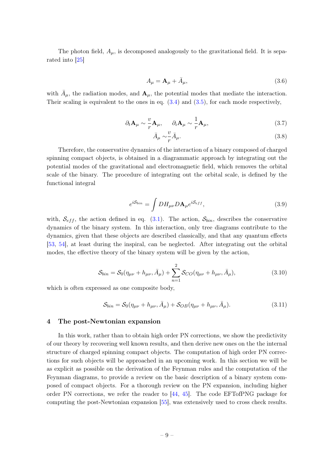The photon field,  $A_{\mu}$ , is decomposed analogously to the gravitational field. It is separated into [\[25\]](#page-26-14)

$$
A_{\mu} = \mathbf{A}_{\mu} + \bar{A}_{\mu},\tag{3.6}
$$

with  $\bar{A}_{\mu}$ , the radiation modes, and  $\mathbf{A}_{\mu}$ , the potential modes that mediate the interaction. Their scaling is equivalent to the ones in eq.  $(3.4)$  and  $(3.5)$ , for each mode respectively.

$$
\partial_t \mathbf{A}_{\mu} \sim \frac{v}{r} \mathbf{A}_{\mu}, \qquad \partial_i \mathbf{A}_{\mu} \sim \frac{1}{r} \mathbf{A}_{\mu}, \tag{3.7}
$$

$$
\bar{A}_{\mu} \sim \frac{v}{r} \bar{A}_{\mu}.\tag{3.8}
$$

Therefore, the conservative dynamics of the interaction of a binary composed of charged spinning compact objects, is obtained in a diagrammatic approach by integrating out the potential modes of the gravitational and electromagnetic field, which removes the orbital scale of the binary. The procedure of integrating out the orbital scale, is defined by the functional integral

$$
e^{iS_{bin}} = \int DH_{\mu\nu} DA_{\mu} e^{iS_{eff}}, \qquad (3.9)
$$

with,  $S_{eff}$ , the action defined in eq. [\(3.1\)](#page-8-3). The action,  $S_{bin}$ , describes the conservative dynamics of the binary system. In this interaction, only tree diagrams contribute to the dynamics, given that these objects are described classically, and that any quantum effects [\[53,](#page-28-5) [54\]](#page-28-6), at least during the inspiral, can be neglected. After integrating out the orbital modes, the effective theory of the binary system will be given by the action,

$$
S_{bin} = S_0(\eta_{\mu\nu} + h_{\mu\nu}, \bar{A}_{\mu}) + \sum_{n=1}^2 S_{CO}(\eta_{\mu\nu} + h_{\mu\nu}, \bar{A}_{\mu}), \qquad (3.10)
$$

which is often expressed as one composite body,

$$
S_{bin} = S_0(\eta_{\mu\nu} + h_{\mu\nu}, \bar{A}_{\mu}) + S_{OB}(\eta_{\mu\nu} + h_{\mu\nu}, \bar{A}_{\mu}).
$$
\n(3.11)

## <span id="page-9-0"></span>4 The post-Newtonian expansion

In this work, rather than to obtain high order PN corrections, we show the predictivity of our theory by recovering well known results, and then derive new ones on the the internal structure of charged spinning compact objects. The computation of high order PN corrections for such objects will be approached in an upcoming work. In this section we will be as explicit as possible on the derivation of the Feynman rules and the computation of the Feynman diagrams, to provide a review on the basic description of a binary system composed of compact objects. For a thorough review on the PN expansion, including higher order PN corrections, we refer the reader to [\[44,](#page-27-10) [45\]](#page-27-11). The code EFTofPNG package for computing the post-Newtonian expansion [\[55\]](#page-28-7), was extensively used to cross check results.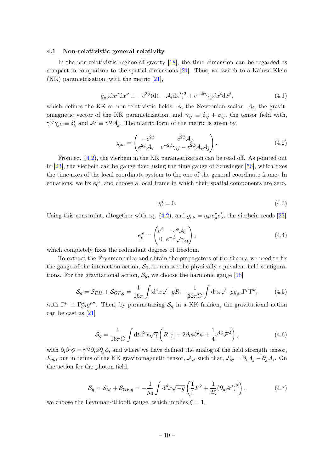# <span id="page-10-0"></span>4.1 Non-relativistic general relativity

In the non-relativistic regime of gravity [\[18\]](#page-26-8), the time dimension can be regarded as compact in comparison to the spatial dimensions [\[21\]](#page-26-11). Thus, we switch to a Kaluza-Klein (KK) parametrization, with the metric [\[21\]](#page-26-11),

$$
g_{\mu\nu}dx^{\mu}dx^{\nu} \equiv -e^{2\phi}(dt - \mathcal{A}_i dx^i)^2 + e^{-2\phi}\gamma_{ij}dx^i dx^j,
$$
\n(4.1)

which defines the KK or non-relativistic fields:  $\phi$ , the Newtonian scalar,  $\mathcal{A}_i$ , the gravitomagnetic vector of the KK parametrization, and  $\gamma_{ij} \equiv \delta_{ij} + \sigma_{ij}$ , the tensor field with,  $\gamma^{ij}\gamma_{jk} \equiv \delta^i_k$  and  $\mathcal{A}^i \equiv \gamma^{ij}\mathcal{A}_j$ . The matrix form of the metric is given by,

<span id="page-10-1"></span>
$$
g_{\mu\nu} = \begin{pmatrix} -e^{2\phi} & e^{2\phi} \mathcal{A}_j \\ e^{2\phi} \mathcal{A}_i & e^{-2\phi} \gamma_{ij} - e^{2\phi} \mathcal{A}_i \mathcal{A}_j \end{pmatrix} . \tag{4.2}
$$

From eq. [\(4.2\)](#page-10-1), the vierbein in the KK parametrization can be read off. As pointed out in [\[23\]](#page-26-16), the vierbein can be gauge fixed using the time gauge of Schwinger [\[56\]](#page-28-8), which fixes the time axes of the local coordinate system to the one of the general coordinate frame. In equations, we fix  $e_0^a$ , and choose a local frame in which their spatial components are zero,

$$
e_0^{\ i} = 0. \tag{4.3}
$$

Using this constraint, altogether with eq. [\(4.2\)](#page-10-1), and  $g_{\mu\nu} = \eta_{ab} e^a_\mu e^b_\nu$ , the vierbein reads [\[23\]](#page-26-16)

<span id="page-10-2"></span>
$$
e_{\mu}^{a} = \begin{pmatrix} e^{\phi} & -e^{\phi} \mathcal{A}_{i} \\ 0 & e^{-\phi} \sqrt{\gamma}_{ij} \end{pmatrix},\tag{4.4}
$$

which completely fixes the redundant degrees of freedom.

To extract the Feynman rules and obtain the propagators of the theory, we need to fix the gauge of the interaction action,  $S_0$ , to remove the physically equivalent field configurations. For the gravitational action,  $S_g$ , we choose the harmonic gauge [\[18\]](#page-26-8)

$$
S_g = S_{EH} + S_{GF,g} = \frac{1}{16\pi} \int d^4x \sqrt{-g}R - \frac{1}{32\pi G} \int d^4x \sqrt{-g}g_{\mu\nu} \Gamma^{\mu} \Gamma^{\nu}, \tag{4.5}
$$

with  $\Gamma^{\mu} \equiv \Gamma^{\mu}_{\rho\sigma} g^{\rho\sigma}$ . Then, by parametrizing  $S_g$  in a KK fashion, the gravitational action can be cast as [\[21\]](#page-26-11)

$$
S_g = \frac{1}{16\pi G} \int dt d^3x \sqrt{\gamma} \left( R[\gamma] - 2\partial_i \phi \partial^i \phi + \frac{1}{4} e^{4\phi} \mathcal{F}^2 \right), \tag{4.6}
$$

with  $\partial_i \partial^i \phi = \gamma^{ij} \partial_i \phi \partial_j \phi$ , and where we have defined the analog of the field strength tensor,  $F_{ab}$ , but in terms of the KK gravitomagnetic tensor,  $\mathcal{A}_i$ , such that,  $\mathcal{F}_{ij} = \partial_i \mathcal{A}_j - \partial_j \mathcal{A}_i$ . On the action for the photon field,

$$
S_q = S_M + S_{GF,q} = -\frac{1}{\mu_0} \int d^4x \sqrt{-g} \left( \frac{1}{4} F^2 + \frac{1}{2\xi} (\partial_\mu A^\mu)^2 \right), \tag{4.7}
$$

we choose the Feynman-'tHooft gauge, which implies  $\xi = 1$ .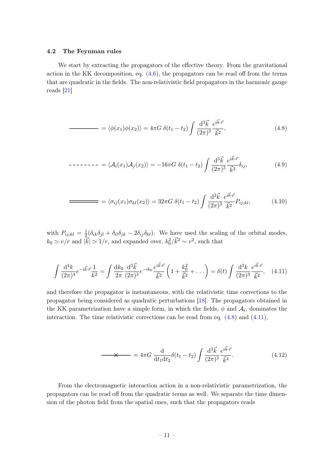# <span id="page-11-0"></span>4.2 The Feynman rules

We start by extracting the propagators of the effective theory. From the gravitational action in the KK decomposition, eq.  $(4.6)$ , the propagators can be read off from the terms that are quadratic in the fields. The non-relativistic field propagators in the harmonic gauge reads [\[21\]](#page-26-11)

<span id="page-11-1"></span>
$$
\overline{\qquad} = \langle \phi(x_1)\phi(x_2) \rangle = 4\pi G \,\delta(t_1 - t_2) \int \frac{\mathrm{d}^3 \vec{k}}{(2\pi)^3} \frac{e^{i\vec{k}\cdot\vec{r}}}{\vec{k}^2},\tag{4.8}
$$

$$
\text{---} \text{---} = \langle \mathcal{A}_i(x_1) \mathcal{A}_j(x_2) \rangle = -16\pi G \, \delta(t_1 - t_2) \int \frac{\mathrm{d}^3 \vec{k}}{(2\pi)^3} \frac{e^{i\vec{k}\cdot\vec{r}}}{\vec{k}^2} \delta_{ij}, \tag{4.9}
$$

$$
\frac{\partial}{\partial t} = \langle \sigma_{ij}(x_1) \sigma_{kl}(x_2) \rangle = 32\pi G \, \delta(t_1 - t_2) \int \frac{\mathrm{d}^3 \vec{k}}{(2\pi)^3} \frac{e^{i\vec{k}\cdot\vec{r}}}{\vec{k}^2} P_{ij;kl},\tag{4.10}
$$

with  $P_{ij;kl} = \frac{1}{2}$  $\frac{1}{2}(\delta_{ik}\delta_{jl} + \delta_{il}\delta_{jk} - 2\delta_{ij}\delta_{kl})$ . We have used the scaling of the orbital modes,  $k_0 \simeq v/r$  and  $|\vec{k}| \simeq 1/r$ , and expanded over,  $k_0^2/\vec{k}^2 \sim v^2$ , such that

$$
\int \frac{\mathrm{d}^4 k}{(2\pi)^4} e^{-i\vec{k}\cdot\vec{r}} \frac{1}{k^2} = \int \frac{\mathrm{d}k_0}{2\pi} \frac{\mathrm{d}^3 \vec{k}}{(2\pi)^3} e^{-ik_0} \frac{e^{i\vec{k}\cdot\vec{r}}}{\vec{k}^2} \left(1 + \frac{k_0^2}{\vec{k}^2} + \dots\right) = \delta(t) \int \frac{\mathrm{d}^3 k}{(2\pi)^3} \frac{e^{i\vec{k}\cdot\vec{r}}}{\vec{k}^2},\tag{4.11}
$$

and therefore the propagator is instantaneous, with the relativistic time corrections to the propagator being considered as quadratic perturbations [\[18\]](#page-26-8). The propagators obtained in the KK parametrization have a simple form, in which the fields,  $\phi$  and  $\mathcal{A}_i$ , dominates the interaction. The time relativistic corrections can be read from eq. [\(4.8\)](#page-11-1) and [\(4.11\)](#page-11-2),

<span id="page-11-2"></span>
$$
\frac{\Delta}{\Delta t} = 4\pi G \frac{d}{dt_1 dt_2} \delta(t_1 - t_2) \int \frac{d^3 \vec{k}}{(2\pi)^3} \frac{e^{i\vec{k}\cdot\vec{r}}}{\vec{k}^4}.
$$
 (4.12)

From the electromagnetic interaction action in a non-relativistic parametrization, the propagators can be read off from the quadratic terms as well. We separate the time dimension of the photon field from the spatial ones, such that the propagators reads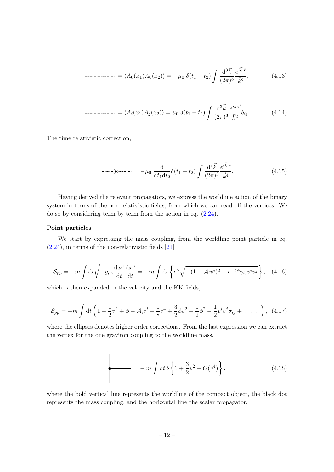$$
\cdots \cdots \cdots \cdots = \langle A_0(x_1) A_0(x_2) \rangle = -\mu_0 \, \delta(t_1 - t_2) \int \frac{\mathrm{d}^3 \vec{k}}{(2\pi)^3} \frac{e^{i\vec{k}\cdot\vec{r}}}{\vec{k}^2},\tag{4.13}
$$

= hAi(x1)A<sup>j</sup> (x2)i = µ<sup>0</sup> δ(t<sup>1</sup> − t2) d 3~k (2π) 3 e i~k·~r ~k 2 δij . (4.14)

The time relativistic correction,

$$
\cdots \times \cdots = -\mu_0 \frac{d}{dt_1 dt_2} \delta(t_1 - t_2) \int \frac{d^3 \vec{k}}{(2\pi)^3} \frac{e^{i\vec{k}\cdot\vec{r}}}{\vec{k}^4}.
$$
 (4.15)

Having derived the relevant propagators, we express the worldline action of the binary system in terms of the non-relativistic fields, from which we can read off the vertices. We do so by considering term by term from the action in eq. [\(2.24\)](#page-7-2).

## Point particles

We start by expressing the mass coupling, from the worldline point particle in eq.  $(2.24)$ , in terms of the non-relativistic fields  $[21]$ 

$$
S_{pp} = -m \int dt \sqrt{-g_{\mu\nu}\frac{dx^{\mu}}{dt}\frac{dx^{\nu}}{dt}} = -m \int dt \left\{ e^{\phi} \sqrt{-(1 - \mathcal{A}_{i}v^{i})^{2} + e^{-4\phi}\gamma_{ij}v^{i}v^{j}} \right\}, \quad (4.16)
$$

which is then expanded in the velocity and the KK fields,

$$
S_{pp} = -m \int dt \left( 1 - \frac{1}{2} v^2 + \phi - \mathcal{A}_i v^i - \frac{1}{8} v^4 + \frac{3}{2} \phi v^2 + \frac{1}{2} \phi^2 - \frac{1}{2} v^i v^j \sigma_{ij} + \dots \right), \tag{4.17}
$$

where the ellipses denotes higher order corrections. From the last expression we can extract the vertex for the one graviton coupling to the worldline mass,

<span id="page-12-1"></span><span id="page-12-0"></span>
$$
= -m \int dt \phi \left\{ 1 + \frac{3}{2}v^2 + O(v^4) \right\},
$$
\n(4.18)

where the bold vertical line represents the worldline of the compact object, the black dot represents the mass coupling, and the horizontal line the scalar propagator.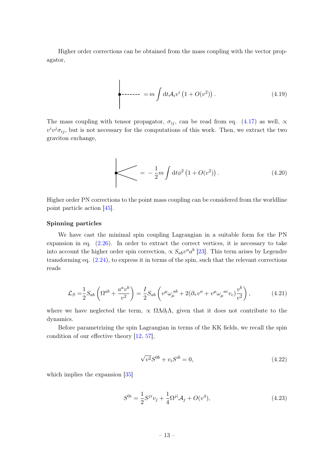Higher order corrections can be obtained from the mass coupling with the vector propagator,

$$
\begin{cases}\n- \cdots - m \int dt \mathcal{A}_i v^i (1 + O(v^2)).\n\end{cases} (4.19)
$$

The mass coupling with tensor propagator,  $\sigma_{ij}$ , can be read from eq. [\(4.17\)](#page-12-0) as well,  $\propto$  $v^i v^j \sigma_{ij}$ , but is not necessary for the computations of this work. Then, we extract the two graviton exchange,

$$
= -\frac{1}{2}m \int dt \phi^2 (1 + O(v^2)). \qquad (4.20)
$$

Higher order PN corrections to the point mass coupling can be considered from the worldline point particle action [\[45\]](#page-27-11).

## Spinning particles

 $\mathbf{r}$ 

We have cast the minimal spin coupling Lagrangian in a suitable form for the PN expansion in eq. [\(2.26\)](#page-7-1). In order to extract the correct vertices, it is necessary to take into account the higher order spin correction,  $\propto S_{ab}v^a a^b$  [\[23\]](#page-26-16). This term arises by Legendre transforming eq. [\(2.24\)](#page-7-2), to express it in terms of the spin, such that the relevant corrections reads

$$
\mathcal{L}_S = \frac{1}{2} S_{ab} \left( \Omega^{ab} + \frac{a^a v^b}{v^2} \right) = \frac{I}{2} S_{ab} \left( v^\mu \omega_\mu^{ab} + 2(\partial_\tau v^a + v^\mu \omega_\mu^{ac} v_c) \frac{v^b}{v^2} \right),\tag{4.21}
$$

where we have neglected the term,  $\propto \Omega \Lambda \partial_t \Lambda$ , given that it does not contribute to the dynamics.

Before parametrizing the spin Lagrangian in terms of the KK fields, we recall the spin condition of our effective theory [\[12,](#page-26-2) [57\]](#page-28-9),

<span id="page-13-1"></span><span id="page-13-0"></span>
$$
\sqrt{v^2}S^{0b} + v_i S^{ib} = 0,
$$
\n(4.22)

which implies the expansion [\[35\]](#page-27-6)

$$
S^{0i} = \frac{1}{2} S^{ji} v_j + \frac{1}{4} \Omega^{ji} A_j + O(v^4), \tag{4.23}
$$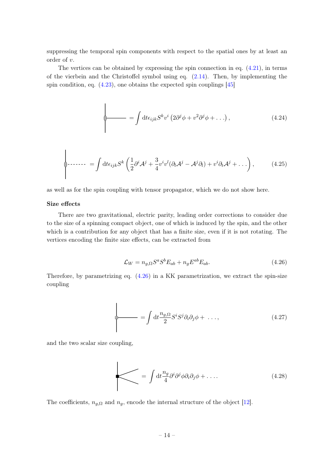suppressing the temporal spin components with respect to the spatial ones by at least an order of v.

The vertices can be obtained by expressing the spin connection in eq.  $(4.21)$ , in terms of the vierbein and the Christoffel symbol using eq. [\(2.14\)](#page-6-2). Then, by implementing the spin condition, eq.  $(4.23)$ , one obtains the expected spin couplings  $[45]$ 

$$
= \int dt \epsilon_{ijk} S^{k} v^{i} (2 \partial^{j} \phi + v^{2} \partial^{j} \phi + ...),
$$
\n(4.24)\n
$$
= \int dt \epsilon_{ijk} S^{k} \left( \frac{1}{2} \partial^{i} \mathcal{A}^{j} + \frac{3}{4} v^{i} v^{l} (\partial_{l} \mathcal{A}^{j} - \mathcal{A}^{j} \partial_{l}) + v^{i} \partial_{t} \mathcal{A}^{j} + ... \right),
$$
\n(4.25)

as well as for the spin coupling with tensor propagator, which we do not show here.

#### Size effects

There are two gravitational, electric parity, leading order corrections to consider due to the size of a spinning compact object, one of which is induced by the spin, and the other which is a contribution for any object that has a finite size, even if it is not rotating. The vertices encoding the finite size effects, can be extracted from

<span id="page-14-0"></span>
$$
\mathcal{L}_W = n_{g,\Omega} S^a S^b E_{ab} + n_g E^{ab} E_{ab}.
$$
\n(4.26)

Therefore, by parametrizing eq.  $(4.26)$  in a KK parametrization, we extract the spin-size coupling

$$
= \int dt \frac{n_{g,\Omega}}{2} S^i S^j \partial_i \partial_j \phi + \dots, \qquad (4.27)
$$

and the two scalar size coupling,

$$
= \int dt \frac{n_g}{4} \partial^i \partial^j \phi \partial_i \partial_j \phi + \dots \qquad (4.28)
$$

The coefficients,  $n_{g,\Omega}$  and  $n_g$ , encode the internal structure of the object [\[12\]](#page-26-2).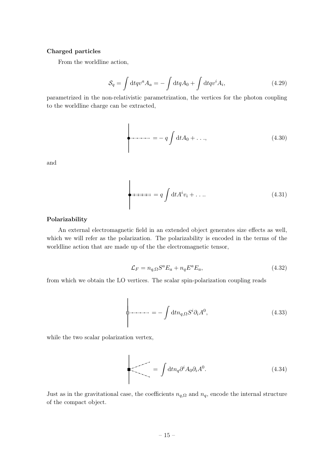# Charged particles

From the worldline action,

$$
S_q = \int dt q v^a A_a = -\int dt q A_0 + \int dt q v^i A_i,
$$
\n(4.29)

parametrized in the non-relativistic parametrization, the vertices for the photon coupling to the worldline charge can be extracted,

$$
\bullet \qquad \qquad \bullet \qquad \qquad = -q \int dt A_0 + \ldots, \tag{4.30}
$$

and

$$
\bullet \dots = \dots = q \int \mathrm{d}t A^i v_i + \dots \tag{4.31}
$$

# Polarizability

An external electromagnetic field in an extended object generates size effects as well, which we will refer as the polarization. The polarizability is encoded in the terms of the worldline action that are made up of the the electromagnetic tensor,

$$
\mathcal{L}_F = n_{q,\Omega} S^a E_a + n_q E^a E_a,\tag{4.32}
$$

from which we obtain the LO vertices. The scalar spin-polarization coupling reads

$$
\begin{aligned}\n\vdots &\dots &\dots &=-\int \mathrm{d}t n_{q,\Omega} S^i \partial_i A^0,\n\end{aligned} \tag{4.33}
$$

while the two scalar polarization vertex,

$$
\blacksquare = \int \mathrm{d}t n_q \partial^i A_0 \partial_i A^0. \tag{4.34}
$$

Just as in the gravitational case, the coefficients  $n_{q,\Omega}$  and  $n_q$ , encode the internal structure of the compact object.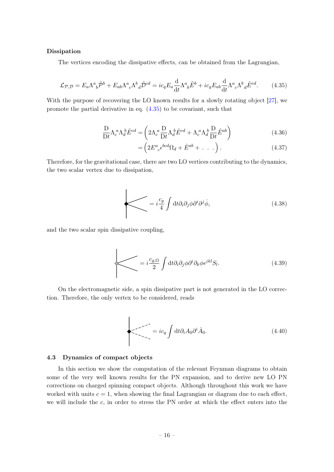# Dissipation

The vertices encoding the dissipative effects, can be obtained from the Lagrangian,

$$
\mathcal{L}_{\mathcal{P},\mathcal{D}} = E_a \Lambda^a{}_b \tilde{\mathcal{P}}^b + E_{ab} \Lambda^a{}_c \Lambda^b{}_d \tilde{\mathcal{D}}^{cd} = ic_q E_a \frac{\mathrm{d}}{\mathrm{d}t} \Lambda^a{}_b \tilde{E}^b + ic_g E_{ab} \frac{\mathrm{d}}{\mathrm{d}t} \Lambda^a{}_c \Lambda^b{}_d \tilde{E}^{cd}.
$$
 (4.35)

With the purpose of recovering the LO known results for a slowly rotating object [\[27\]](#page-26-17), we promote the partial derivative in eq. [\(4.35\)](#page-16-1) to be covariant, such that

$$
\frac{\mathcal{D}}{\mathcal{D}t} \Lambda_c^a \Lambda_d^b \tilde{E}^{cd} = \left( 2\Lambda_c^a \frac{\mathcal{D}}{\mathcal{D}t} \Lambda_d^b \tilde{E}^{cd} + \Lambda_c^a \Lambda_d^b \frac{\mathcal{D}}{\mathcal{D}t} \tilde{E}^{ab} \right)
$$
(4.36)

<span id="page-16-1"></span>
$$
= \left(2E^a{}_c \epsilon^{bcd} \Omega_d + \dot{E}^{ab} + \dots \right). \tag{4.37}
$$

Therefore, for the gravitational case, there are two LO vertices contributing to the dynamics, the two scalar vertex due to dissipation,

$$
= i \frac{c_g}{4} \int dt \partial_i \partial_j \phi \partial^i \partial^j \dot{\phi}, \qquad (4.38)
$$

and the two scalar spin dissipative coupling,

$$
= i \frac{c_{g,\Omega}}{2} \int dt \partial_i \partial_j \phi \partial^i \partial_k \phi \epsilon^{jkl} S_l.
$$
 (4.39)

On the electromagnetic side, a spin dissipative part is not generated in the LO correction. Therefore, the only vertex to be considered, reads

$$
= ic_q \int dt \partial_i A_0 \partial^i \dot{A}_0.
$$
\n(4.40)

# <span id="page-16-0"></span>4.3 Dynamics of compact objects

In this section we show the computation of the relevant Feynman diagrams to obtain some of the very well known results for the PN expansion, and to derive new LO PN corrections on charged spinning compact objects. Although throughout this work we have worked with units  $c = 1$ , when showing the final Lagrangian or diagram due to each effect, we will include the  $c$ , in order to stress the PN order at which the effect enters into the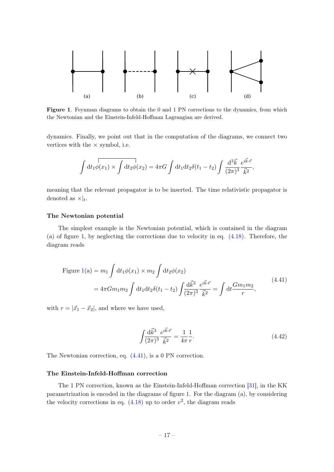

<span id="page-17-0"></span>Figure 1. Feynman diagrams to obtain the 0 and 1 PN corrections to the dynamics, from which the Newtonian and the Einstein-Infeld-Hoffman Lagrangian are derived.

dynamics. Finally, we point out that in the computation of the diagrams, we connect two vertices with the  $\times$  symbol, i.e.

$$
\int dt_1 \phi(x_1) \times \int dt_2 \phi(x_2) = 4\pi G \int dt_1 dt_2 \delta(t_1 - t_2) \int \frac{d^3 \vec{k}}{(2\pi)^3} \frac{e^{i\vec{k}\cdot\vec{r}}}{\vec{k}^2},
$$

meaning that the relevant propagator is to be inserted. The time relativistic propagator is denoted as  $\times |_{t}$ .

# The Newtonian potential

The simplest example is the Newtonian potential, which is contained in the diagram (a) of figure [1,](#page-17-0) by neglecting the corrections due to velocity in eq. [\(4.18\)](#page-12-1). Therefore, the diagram reads

Figure 1(a) = 
$$
m_1 \int dt_1 \phi(x_1) \times m_2 \int dt_2 \phi(x_2)
$$
  
=  $4\pi G m_1 m_2 \int dt_1 dt_2 \delta(t_1 - t_2) \int \frac{d\vec{k}^3}{(2\pi)^3} \frac{e^{i\vec{k}\cdot\vec{r}}}{\vec{k}^2} = \int dt \frac{G m_1 m_2}{r}$ , (4.41)

with  $r = |\vec{x}_1 - \vec{x}_2|$ , and where we have used,

<span id="page-17-1"></span>
$$
\int \frac{d\vec{k}^3}{(2\pi)^3} \frac{e^{i\vec{k}\cdot\vec{r}}}{\vec{k}^2} = \frac{1}{4\pi} \frac{1}{r}.
$$
\n(4.42)

The Newtonian correction, eq. [\(4.41\)](#page-17-1), is a 0 PN correction.

### The Einstein-Infeld-Hoffman correction

The 1 PN correction, known as the Einstein-Infeld-Hoffman correction [\[31\]](#page-27-2), in the KK parametrization is encoded in the diagrams of figure [1.](#page-17-0) For the diagram (a), by considering the velocity corrections in eq.  $(4.18)$  up to order  $v^2$ , the diagram reads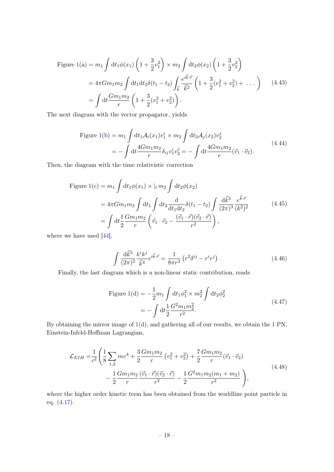Figure 1(a) = 
$$
m_1 \int dt_1 \phi(x_1) \left( 1 + \frac{3}{2} v_1^2 \right) \times m_2 \int dt_2 \phi(x_2) \left( 1 + \frac{3}{2} v_2^2 \right)
$$
  
\n=  $4\pi G m_1 m_2 \int dt_1 dt_2 \delta(t_1 - t_2) \int_{\vec{k}} \frac{e^{i\vec{k}\cdot\vec{r}}}{\vec{k}^2} \left( 1 + \frac{3}{2} (v_1^2 + v_2^2) + \dots \right)$  (4.43)  
\n=  $\int dt \frac{G m_1 m_2}{r} \left( 1 + \frac{3}{2} (v_1^2 + v_2^2) \right)$ .

The next diagram with the vector propagator, yields

Figure 1(b) = 
$$
m_1 \int dt_1 A_i(x_1) v_1^i \times m_2 \int dt_2 A_j(x_2) v_2^j
$$
  
=  $-\int dt \frac{4Gm_1m_2}{r} \delta_{ij} v_1^i v_2^j = -\int dt \frac{4Gm_1m_2}{r} (\vec{v}_1 \cdot \vec{v}_2).$  (4.44)

Then, the diagram with the time relativistic correction

Figure 1(c) = 
$$
m_1 \int dt_1 \phi(x_1) \times |_t m_2 \int dt_2 \phi(x_2)
$$
  
\n=  $4\pi G m_1 m_2 \int dt_1 \int dt_2 \frac{d}{dt_1 dt_2} \delta(t_1 - t_2) \int \frac{d\vec{k}^3}{(2\pi)^3} \frac{e^{\vec{k} \cdot \vec{r}}}{(k^2)^2}$  (4.45)  
\n=  $\int dt \frac{1}{2} \frac{G m_1 m_2}{r} \left( \vec{v}_1 \cdot \vec{v}_2 - \frac{(\vec{v}_1 \cdot \vec{r})(\vec{v}_2 \cdot \vec{r})}{r^2} \right)$ ,

where we have used [\[44\]](#page-27-10),

<span id="page-18-0"></span>
$$
\int \frac{d\vec{k}^3}{(2\pi)^3} \frac{k^i k^j}{\vec{k}^4} e^{i\vec{k}\cdot\vec{r}} = \frac{1}{8\pi r^3} \left( r^2 \delta^{ij} - r^i r^j \right). \tag{4.46}
$$

Finally, the last diagram which is a non-linear static contribution, reads

Figure 1(d) = 
$$
-\frac{1}{2}m_1 \int dt_1 \phi_1^2 \times m_2^2 \int dt_2 \phi_2^2
$$
  
=  $-\int dt \frac{1}{2} \frac{G^2 m_1 m_2^2}{r^2}$ . (4.47)

By obtaining the mirror image of [1\(](#page-17-0)d), and gathering all of our results, we obtain the 1 PN, Einstein-Infeld-Hoffman Lagrangian,

$$
\mathcal{L}_{EIH} = \frac{1}{c^2} \left( \frac{1}{8} \sum_{1,2} m v^4 + \frac{3}{2} \frac{Gm_1 m_2}{r} \left( v_1^2 + v_2^2 \right) + \frac{7}{2} \frac{Gm_1 m_2}{r} (\vec{v_1} \cdot \vec{v_2}) - \frac{1}{2} \frac{Gm_1 m_2}{r} \frac{(\vec{v_1} \cdot \vec{r})(\vec{v_2} \cdot \vec{r})}{r^2} - \frac{1}{2} \frac{G^2 m_1 m_2 (m_1 + m_2)}{r^2} \right),
$$
\n(4.48)

where the higher order kinetic term has been obtained from the worldline point particle in eq. [\(4.17\)](#page-12-0).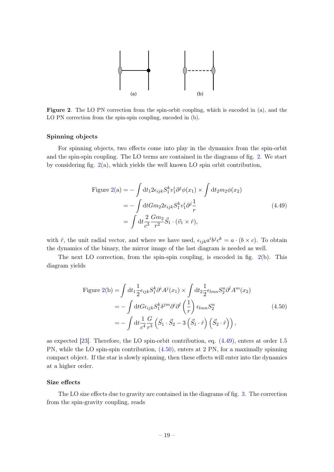

<span id="page-19-0"></span>Figure 2. The LO PN correction from the spin-orbit coupling, which is encoded in (a), and the LO PN correction from the spin-spin coupling, encoded in  $(b)$ .

#### Spinning objects

For spinning objects, two effects come into play in the dynamics from the spin-orbit and the spin-spin coupling. The LO terms are contained in the diagrams of fig. [2.](#page-19-0) We start by considering fig.  $2(a)$  $2(a)$ , which yields the well known LO spin orbit contribution,

<span id="page-19-1"></span>Figure 2(a) = 
$$
- \int dt_1 2\epsilon_{ijk} S_1^k v_1^i \partial^j \phi(x_1) \times \int dt_2 m_2 \phi(x_2)
$$
  
= 
$$
- \int dt G m_2 2\epsilon_{ijk} S_1^k v_1^i \partial^j \frac{1}{r}
$$
  
= 
$$
\int dt \frac{2}{c^3} \frac{G m_2}{r^2} \vec{S}_1 \cdot (\vec{v}_1 \times \hat{r}),
$$
 (4.49)

with  $\hat{r}$ , the unit radial vector, and where we have used,  $\epsilon_{ijk} a^i b^j c^k = a \cdot (b \times c)$ . To obtain the dynamics of the binary, the mirror image of the last diagram is needed as well.

The next LO correction, from the spin-spin coupling, is encoded in fig.  $2(b)$  $2(b)$ . This diagram yields

<span id="page-19-2"></span>Figure 2(b) = 
$$
\int dt_1 \frac{1}{2} \epsilon_{ijk} S_1^k \partial^i A^j(x_1) \times \int dt_2 \frac{1}{2} \epsilon_{lmn} S_2^n \partial^l A^m(x_2)
$$
  
= 
$$
- \int dt G \epsilon_{ijk} S_1^k \delta^{jm} \partial^i \partial^l \left(\frac{1}{r}\right) \epsilon_{lmn} S_2^n
$$
(4.50)  
= 
$$
- \int dt \frac{1}{c^4} \frac{G}{r^3} \left(\vec{S}_1 \cdot \vec{S}_2 - 3\left(\vec{S}_1 \cdot \hat{r}\right) \left(\vec{S}_2 \cdot \hat{r}\right)\right),
$$

as expected [\[23\]](#page-26-16). Therefore, the LO spin-orbit contribution, eq. [\(4.49\)](#page-19-1), enters at order 1.5 PN, while the LO spin-spin contribution, [\(4.50\)](#page-19-2), enters at 2 PN, for a maximally spinning compact object. If the star is slowly spinning, then these effects will enter into the dynamics at a higher order.

#### Size effects

The LO size effects due to gravity are contained in the diagrams of fig. [3.](#page-20-0) The correction from the spin-gravity coupling, reads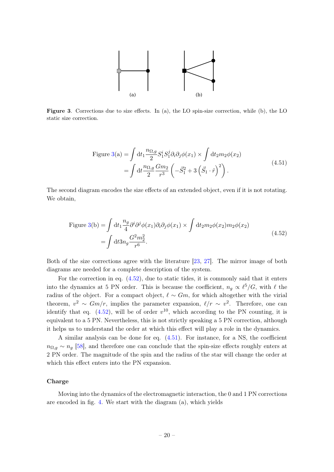

<span id="page-20-0"></span>Figure 3. Corrections due to size effects. In (a), the LO spin-size correction, while (b), the LO static size correction.

<span id="page-20-2"></span><span id="page-20-1"></span>Figure 3(a) = 
$$
\int dt_1 \frac{n_{\Omega,g}}{2} S_1^i S_1^j \partial_i \partial_j \phi(x_1) \times \int dt_2 m_2 \phi(x_2)
$$

$$
= \int dt \frac{n_{\Omega,g}}{2} \frac{Gm_2}{r^3} \left( -\vec{S}_1^2 + 3\left(\vec{S}_1 \cdot \hat{r}\right)^2 \right).
$$
(4.51)

The second diagram encodes the size effects of an extended object, even if it is not rotating. We obtain,

Figure 3(b) = 
$$
\int dt_1 \frac{n_g}{4} \partial^i \partial^j \phi(x_1) \partial_i \partial_j \phi(x_1) \times \int dt_2 m_2 \phi(x_2) m_2 \phi(x_2)
$$

$$
= \int dt_3 n_g \frac{G^2 m_2^2}{r^6}.
$$
(4.52)

Both of the size corrections agree with the literature [\[23,](#page-26-16) [27\]](#page-26-17). The mirror image of both diagrams are needed for a complete description of the system.

For the correction in eq. [\(4.52\)](#page-20-1), due to static tides, it is commonly said that it enters into the dynamics at 5 PN order. This is because the coefficient,  $n_g \propto \ell^5/G$ , with  $\ell$  the radius of the object. For a compact object,  $\ell \sim Gm$ , for which altogether with the virial theorem,  $v^2 \sim Gm/r$ , implies the parameter expansion,  $\ell/r \sim v^2$ . Therefore, one can identify that eq. [\(4.52\)](#page-20-1), will be of order  $v^{10}$ , which according to the PN counting, it is equivalent to a 5 PN. Nevertheless, this is not strictly speaking a 5 PN correction, although it helps us to understand the order at which this effect will play a role in the dynamics.

A similar analysis can be done for eq. [\(4.51\)](#page-20-2). For instance, for a NS, the coefficient  $n_{\Omega,q} \sim n_q$  [\[58\]](#page-28-10), and therefore one can conclude that the spin-size effects roughly enters at 2 PN order. The magnitude of the spin and the radius of the star will change the order at which this effect enters into the PN expansion.

#### Charge

Moving into the dynamics of the electromagnetic interaction, the 0 and 1 PN corrections are encoded in fig. [4.](#page-21-0) We start with the diagram (a), which yields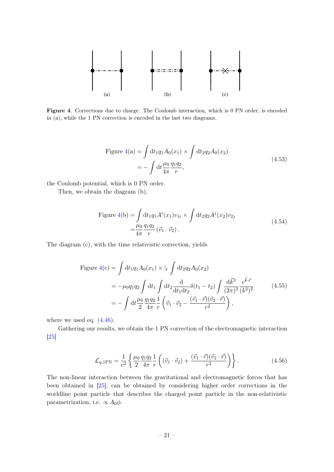

<span id="page-21-0"></span>Figure 4. Corrections due to charge. The Coulomb interaction, which is 0 PN order, is encoded in (a), while the 1 PN correction is encoded in the last two diagrams.

Figure 4(a) = 
$$
\int dt_1 q_1 A_0(x_1) \times \int dt_2 q_2 A_0(x_2)
$$
  
=  $-\int dt \frac{\mu_0}{4\pi} \frac{q_1 q_2}{r}$ , (4.53)

the Coulomb potential, which is 0 PN order.

Then, we obtain the diagram (b),

Figure 4(b) = 
$$
\int dt_1 q_1 A^i(x_1) v_{1i} \times \int dt_2 q_2 A^j(x_2) v_{2j}
$$
  
= 
$$
\frac{\mu_0}{4\pi} \frac{q_1 q_2}{r} (\vec{v}_1 \cdot \vec{v}_2).
$$
 (4.54)

The diagram (c), with the time relativistic correction, yields

Figure 4(c) = 
$$
\int dt_1 q_1 A_0(x_1) \times |_t \int dt_2 q_2 A_0(x_2)
$$
  
\n=  $-\mu_0 q_1 q_2 \int dt_1 \int dt_2 \frac{d}{dt_1 dt_2} \delta(t_1 - t_2) \int \frac{d\vec{k}^3}{(2\pi)^3} \frac{e^{\vec{k}\cdot\vec{r}}}{(k^2)^2}$  (4.55)  
\n=  $-\int dt \frac{\mu_0}{2} \frac{q_1 q_2}{4\pi} \frac{1}{r} \left(\vec{v}_1 \cdot \vec{v}_2 - \frac{(\vec{v}_1 \cdot \vec{r})(\vec{v}_2 \cdot \vec{r})}{r^2}\right)$ ,

where we used eq.  $(4.46)$ .

Gathering our results, we obtain the 1 PN correction of the electromagnetic interaction [\[25\]](#page-26-14)

$$
\mathcal{L}_{q,1\text{PN}} = \frac{1}{c^2} \left\{ \frac{\mu_0}{2} \frac{q_1 q_2}{4\pi} \frac{1}{r} \left( (\vec{v}_1 \cdot \vec{v}_2) + \frac{(\vec{v}_1 \cdot \vec{r})(\vec{v}_2 \cdot \vec{r})}{r^2} \right) \right\}.
$$
\n(4.56)

The non-linear interaction between the gravitational and electromagnetic forces that has been obtained in [\[25\]](#page-26-14), can be obtained by considering higher order corrections in the worldline point particle that describes the charged point particle in the non-relativistic parametrization, i.e.  $\propto A_0 \phi$ .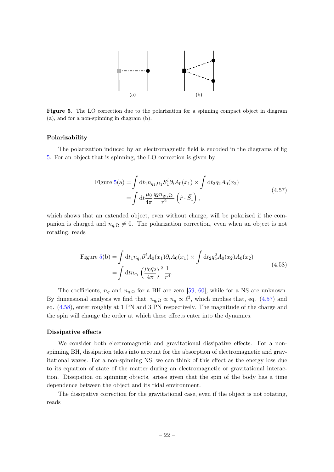

<span id="page-22-0"></span>Figure 5. The LO correction due to the polarization for a spinning compact object in diagram (a), and for a non-spinning in diagram (b).

# Polarizability

The polarization induced by an electromagnetic field is encoded in the diagrams of fig [5.](#page-22-0) For an object that is spinning, the LO correction is given by

<span id="page-22-1"></span>Figure 5(a) = 
$$
\int dt_1 n_{q_1,\Omega_1} S_1^i \partial_i A_0(x_1) \times \int dt_2 q_2 A_0(x_2)
$$
  
=  $\int dt \frac{\mu_0}{4\pi} \frac{q_2 n_{q_1,\Omega_1}}{r^2} (\hat{r} \cdot \vec{S}_1),$  (4.57)

which shows that an extended object, even without charge, will be polarized if the companion is charged and  $n_{q,\Omega} \neq 0$ . The polarization correction, even when an object is not rotating, reads

<span id="page-22-2"></span>Figure 5(b) = 
$$
\int dt_1 n_{q_1} \partial^i A_0(x_1) \partial_i A_0(x_1) \times \int dt_2 q_2^2 A_0(x_2) A_0(x_2)
$$
  
=  $\int dt n_{q_1} \left(\frac{\mu_0 q_2}{4\pi}\right)^2 \frac{1}{r^4}.$  (4.58)

The coefficients,  $n_q$  and  $n_{q,\Omega}$  for a BH are zero [\[59,](#page-28-11) [60\]](#page-28-12), while for a NS are unknown. By dimensional analysis we find that,  $n_{q,\Omega} \propto n_q \propto l^3$ , which implies that, eq. [\(4.57\)](#page-22-1) and eq. [\(4.58\)](#page-22-2), enter roughly at 1 PN and 3 PN respectively. The magnitude of the charge and the spin will change the order at which these effects enter into the dynamics.

#### Dissipative effects

We consider both electromagnetic and gravitational dissipative effects. For a nonspinning BH, dissipation takes into account for the absorption of electromagnetic and gravitational waves. For a non-spinning NS, we can think of this effect as the energy loss due to its equation of state of the matter during an electromagnetic or gravitational interaction. Dissipation on spinning objects, arises given that the spin of the body has a time dependence between the object and its tidal environment.

The dissipative correction for the gravitational case, even if the object is not rotating, reads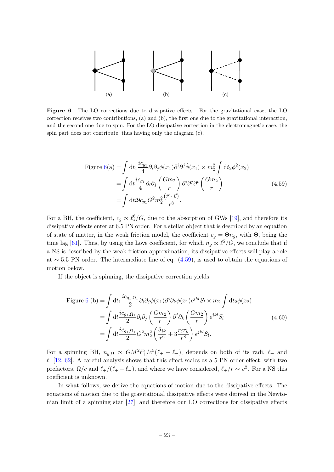

<span id="page-23-0"></span>Figure 6. The LO corrections due to dissipative effects. For the gravitational case, the LO correction receives two contributions, (a) and (b), the first one due to the gravitational interaction, and the second one due to spin. For the LO dissipative correction in the electromagnetic case, the spin part does not contribute, thus having only the diagram (c).

<span id="page-23-1"></span>Figure 6(a) = 
$$
\int dt_1 \frac{ic_{g_1}}{4} \partial_i \partial_j \phi(x_1) \partial^i \partial^j \dot{\phi}(x_1) \times m_2^2 \int dt_2 \phi^2(x_2)
$$
  
= 
$$
\int dt \frac{ic_{g_1}}{4} \partial_i \partial_j \left(\frac{Gm_2}{r}\right) \partial^i \partial^j \partial^t \left(\frac{Gm_2}{r}\right)
$$
  
= 
$$
\int dt i \partial c_{g_1} G^2 m_2^2 \frac{(\vec{r} \cdot \vec{v})}{r^8}.
$$
 (4.59)

For a BH, the coefficient,  $c_g \propto \ell_s^6/G$ , due to the absorption of GWs [\[19\]](#page-26-9), and therefore its dissipative effects enter at 6.5 PN order. For a stellar object that is described by an equation of state of matter, in the weak friction model, the coefficient  $c_q = \Theta n_q$ , with  $\Theta$ , being the time lag [\[61\]](#page-28-13). Thus, by using the Love coefficient, for which  $n_g \propto \ell^5/G$ , we conclude that if a NS is described by the weak friction approximation, its dissipative effects will play a role at  $\sim$  5.5 PN order. The intermediate line of eq. [\(4.59\)](#page-23-1), is used to obtain the equations of motion below.

If the object is spinning, the dissipative correction yields

<span id="page-23-2"></span>Figure 6 (b) = 
$$
\int dt_1 \frac{ic_{g_1,\Omega_1}}{2} \partial_i \partial_j \phi(x_1) \partial^i \partial_k \phi(x_1) \epsilon^{jkl} S_l \times m_2 \int dt_2 \phi(x_2)
$$
  
= 
$$
\int dt \frac{ic_{g_1,\Omega_1}}{2} \partial_i \partial_j \left(\frac{Gm_2}{r}\right) \partial^i \partial_k \left(\frac{Gm_2}{r}\right) \epsilon^{jkl} S_l
$$
  
= 
$$
\int dt \frac{ic_{g_1,\Omega_1}}{2} G^2 m_2^2 \left(\frac{\delta_{jk}}{r^6} + 3\frac{r_j r_k}{r^8}\right) \epsilon^{jkl} S_l.
$$
 (4.60)

For a spinning BH,  $n_{g,\Omega} \propto GM^2 \ell_+^5/\epsilon^5(\ell_+ - \ell_-)$ , depends on both of its radi,  $\ell_+$  and  $\ell$ <sub>−</sub>[\[12,](#page-26-2) [62\]](#page-28-14). A careful analysis shows that this effect scales as a 5 PN order effect, with two prefactors,  $\Omega/c$  and  $\ell_+/(\ell_+ - \ell_-)$ , and where we have considered,  $\ell_+/r \sim v^2$ . For a NS this coefficient is unknown.

In what follows, we derive the equations of motion due to the dissipative effects. The equations of motion due to the gravitational dissipative effects were derived in the Newtonian limit of a spinning star [\[27\]](#page-26-17), and therefore our LO corrections for dissipative effects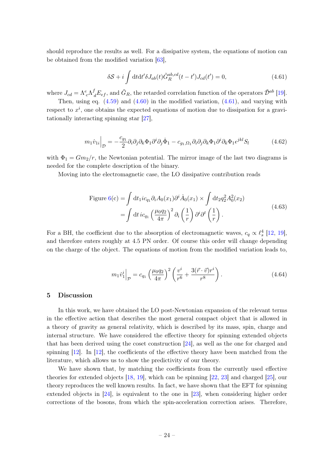should reproduce the results as well. For a dissipative system, the equations of motion can be obtained from the modified variation [\[63\]](#page-28-15),

<span id="page-24-1"></span>
$$
\delta S + i \int dt dt' \delta J_{ab}(t) \tilde{G}_{R}^{ab,cd}(t - t') J_{cd}(t') = 0,
$$
\n(4.61)

where  $J_{cd} = \Lambda^e_{\ c} \Lambda^f_{\ d} E_{ef}$ , and  $\tilde{G}_R$ , the retarded correlation function of the operators  $\tilde{\mathcal{D}}^{ab}$  [\[19\]](#page-26-9).

Then, using eq.  $(4.59)$  and  $(4.60)$  in the modified variation,  $(4.61)$ , and varying with respect to  $x^i$ , one obtains the expected equations of motion due to dissipation for a gravitationally interacting spinning star [\[27\]](#page-26-17),

$$
m_1 \dot{v}_{1i} \Big|_{\mathcal{D}} = -\frac{c_{g_1}}{2} \partial_i \partial_j \partial_k \Phi_1 \partial^i \partial_j \dot{\Phi}_1 - c_{g_1, \Omega_1} \partial_i \partial_j \partial_k \Phi_1 \partial^i \partial_k \Phi_1 \epsilon^{jkl} S_l \tag{4.62}
$$

with  $\Phi_1 = Gm_2/r$ , the Newtonian potential. The mirror image of the last two diagrams is needed for the complete description of the binary.

Moving into the electromagnetic case, the LO dissipative contribution reads

Figure 6(c) = 
$$
\int dt_1 i c_{q_1} \partial_i A_0(x_1) \partial^i \dot{A}_0(x_1) \times \int dt_2 q_2^2 A_0^2(x_2)
$$
  
= 
$$
\int dt i c_{q_1} \left(\frac{\mu_0 q_2}{4\pi}\right)^2 \partial_i \left(\frac{1}{r}\right) \partial^i \partial^t \left(\frac{1}{r}\right).
$$
 (4.63)

For a BH, the coefficient due to the absorption of electromagnetic waves,  $c_q \propto \ell_s^4$  [\[12,](#page-26-2) [19\]](#page-26-9), and therefore enters roughly at 4.5 PN order. Of course this order will change depending on the charge of the object. The equations of motion from the modified variation leads to,

$$
m_1 \dot{v}_1^i \Big|_{\mathcal{P}} = c_{q_1} \left(\frac{\mu_0 q_2}{4\pi}\right)^2 \left(\frac{v^i}{r^6} + \frac{3(\vec{r} \cdot \vec{v})r^i}{r^8}\right). \tag{4.64}
$$

#### <span id="page-24-0"></span>5 Discussion

In this work, we have obtained the LO post-Newtonian expansion of the relevant terms in the effective action that describes the most general compact object that is allowed in a theory of gravity as general relativity, which is described by its mass, spin, charge and internal structure. We have considered the effective theory for spinning extended objects that has been derived using the coset construction [\[24\]](#page-26-13), as well as the one for charged and spinning [\[12\]](#page-26-2). In [\[12\]](#page-26-2), the coefficients of the effective theory have been matched from the literature, which allows us to show the predictivity of our theory.

We have shown that, by matching the coefficients from the currently used effective theories for extended objects [\[18,](#page-26-8) [19\]](#page-26-9), which can be spinning [\[22,](#page-26-12) [23\]](#page-26-16) and charged [\[25\]](#page-26-14), our theory reproduces the well known results. In fact, we have shown that the EFT for spinning extended objects in [\[24\]](#page-26-13), is equivalent to the one in [\[23\]](#page-26-16), when considering higher order corrections of the bosons, from which the spin-acceleration correction arises. Therefore,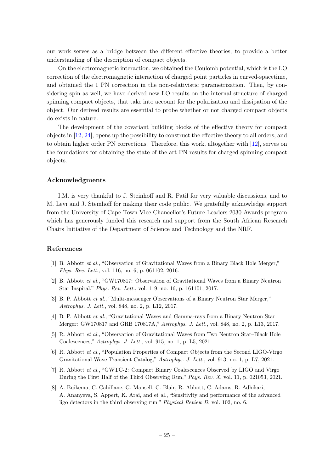our work serves as a bridge between the different effective theories, to provide a better understanding of the description of compact objects.

On the electromagnetic interaction, we obtained the Coulomb potential, which is the LO correction of the electromagnetic interaction of charged point particles in curved-spacetime, and obtained the 1 PN correction in the non-relativistic parametrization. Then, by considering spin as well, we have derived new LO results on the internal structure of charged spinning compact objects, that take into account for the polarization and dissipation of the object. Our derived results are essential to probe whether or not charged compact objects do exists in nature.

The development of the covariant building blocks of the effective theory for compact objects in [\[12,](#page-26-2) [24\]](#page-26-13), opens up the possibility to construct the effective theory to all orders, and to obtain higher order PN corrections. Therefore, this work, altogether with [\[12\]](#page-26-2), serves on the foundations for obtaining the state of the art PN results for charged spinning compact objects.

# Acknowledgments

I.M. is very thankful to J. Steinhoff and R. Patil for very valuable discussions, and to M. Levi and J. Steinhoff for making their code public. We gratefully acknowledge support from the University of Cape Town Vice Chancellor's Future Leaders 2030 Awards program which has generously funded this research and support from the South African Research Chairs Initiative of the Department of Science and Technology and the NRF.

# References

- <span id="page-25-0"></span>[1] B. Abbott et al., "Observation of Gravitational Waves from a Binary Black Hole Merger," Phys. Rev. Lett., vol. 116, no. 6, p. 061102, 2016.
- [2] B. Abbott et al., "GW170817: Observation of Gravitational Waves from a Binary Neutron Star Inspiral," Phys. Rev. Lett., vol. 119, no. 16, p. 161101, 2017.
- [3] B. P. Abbott et al., "Multi-messenger Observations of a Binary Neutron Star Merger," Astrophys. J. Lett., vol. 848, no. 2, p. L12, 2017.
- [4] B. P. Abbott et al., "Gravitational Waves and Gamma-rays from a Binary Neutron Star Merger: GW170817 and GRB 170817A," Astrophys. J. Lett., vol. 848, no. 2, p. L13, 2017.
- <span id="page-25-1"></span>[5] R. Abbott et al., "Observation of Gravitational Waves from Two Neutron Star–Black Hole Coalescences," Astrophys. J. Lett., vol. 915, no. 1, p. L5, 2021.
- <span id="page-25-2"></span>[6] R. Abbott et al., "Population Properties of Compact Objects from the Second LIGO-Virgo Gravitational-Wave Transient Catalog," Astrophys. J. Lett., vol. 913, no. 1, p. L7, 2021.
- <span id="page-25-3"></span>[7] R. Abbott et al., "GWTC-2: Compact Binary Coalescences Observed by LIGO and Virgo During the First Half of the Third Observing Run," Phys. Rev. X, vol. 11, p. 021053, 2021.
- <span id="page-25-4"></span>[8] A. Buikema, C. Cahillane, G. Mansell, C. Blair, R. Abbott, C. Adams, R. Adhikari, A. Ananyeva, S. Appert, K. Arai, and et al., "Sensitivity and performance of the advanced ligo detectors in the third observing run," Physical Review D, vol. 102, no. 6.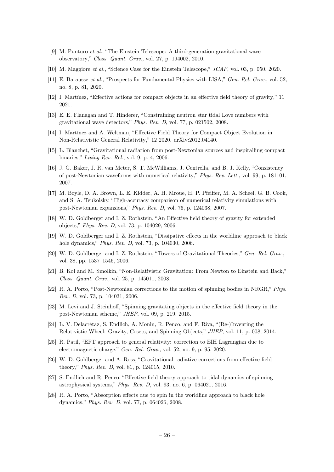- <span id="page-26-0"></span>[9] M. Punturo et al., "The Einstein Telescope: A third-generation gravitational wave observatory," Class. Quant. Grav., vol. 27, p. 194002, 2010.
- [10] M. Maggiore et al., "Science Case for the Einstein Telescope," JCAP, vol. 03, p. 050, 2020.
- <span id="page-26-1"></span>[11] E. Barausse et al., "Prospects for Fundamental Physics with LISA," Gen. Rel. Grav., vol. 52, no. 8, p. 81, 2020.
- <span id="page-26-2"></span>[12] I. Martínez, "Effective actions for compact objects in an effective field theory of gravity," 11 2021.
- <span id="page-26-3"></span>[13] E. E. Flanagan and T. Hinderer, "Constraining neutron star tidal Love numbers with gravitational wave detectors," Phys. Rev. D, vol. 77, p. 021502, 2008.
- <span id="page-26-4"></span>[14] I. Martínez and A. Weltman, "Effective Field Theory for Compact Object Evolution in Non-Relativistic General Relativity," 12 2020. arXiv:2012.04140.
- <span id="page-26-5"></span>[15] L. Blanchet, "Gravitational radiation from post-Newtonian sources and inspiralling compact binaries," Living Rev. Rel., vol. 9, p. 4, 2006.
- <span id="page-26-6"></span>[16] J. G. Baker, J. R. van Meter, S. T. McWilliams, J. Centrella, and B. J. Kelly, "Consistency of post-Newtonian waveforms with numerical relativity," Phys. Rev. Lett., vol. 99, p. 181101, 2007.
- <span id="page-26-7"></span>[17] M. Boyle, D. A. Brown, L. E. Kidder, A. H. Mroue, H. P. Pfeiffer, M. A. Scheel, G. B. Cook, and S. A. Teukolsky, "High-accuracy comparison of numerical relativity simulations with post-Newtonian expansions," Phys. Rev. D, vol. 76, p. 124038, 2007.
- <span id="page-26-8"></span>[18] W. D. Goldberger and I. Z. Rothstein, "An Effective field theory of gravity for extended objects," Phys. Rev. D, vol. 73, p. 104029, 2006.
- <span id="page-26-9"></span>[19] W. D. Goldberger and I. Z. Rothstein, "Dissipative effects in the worldline approach to black hole dynamics," Phys. Rev. D, vol. 73, p. 104030, 2006.
- <span id="page-26-10"></span>[20] W. D. Goldberger and I. Z. Rothstein, "Towers of Gravitational Theories," Gen. Rel. Grav., vol. 38, pp. 1537–1546, 2006.
- <span id="page-26-11"></span>[21] B. Kol and M. Smolkin, "Non-Relativistic Gravitation: From Newton to Einstein and Back," Class. Quant. Grav., vol. 25, p. 145011, 2008.
- <span id="page-26-12"></span>[22] R. A. Porto, "Post-Newtonian corrections to the motion of spinning bodies in NRGR," Phys. Rev. D, vol. 73, p. 104031, 2006.
- <span id="page-26-16"></span>[23] M. Levi and J. Steinhoff, "Spinning gravitating objects in the effective field theory in the post-Newtonian scheme," JHEP, vol. 09, p. 219, 2015.
- <span id="page-26-13"></span>[24] L. V. Delacrétaz, S. Endlich, A. Monin, R. Penco, and F. Riva, "(Re-)Inventing the Relativistic Wheel: Gravity, Cosets, and Spinning Objects," JHEP, vol. 11, p. 008, 2014.
- <span id="page-26-14"></span>[25] R. Patil, "EFT approach to general relativity: correction to EIH Lagrangian due to electromagnetic charge," Gen. Rel. Grav., vol. 52, no. 9, p. 95, 2020.
- <span id="page-26-15"></span>[26] W. D. Goldberger and A. Ross, "Gravitational radiative corrections from effective field theory," Phys. Rev. D, vol. 81, p. 124015, 2010.
- <span id="page-26-17"></span>[27] S. Endlich and R. Penco, "Effective field theory approach to tidal dynamics of spinning astrophysical systems," Phys. Rev. D, vol. 93, no. 6, p. 064021, 2016.
- <span id="page-26-18"></span>[28] R. A. Porto, "Absorption effects due to spin in the worldline approach to black hole dynamics," Phys. Rev. D, vol. 77, p. 064026, 2008.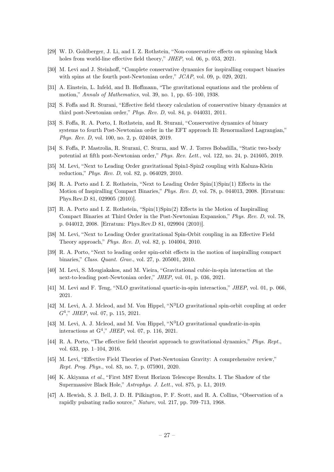- <span id="page-27-0"></span>[29] W. D. Goldberger, J. Li, and I. Z. Rothstein, "Non-conservative effects on spinning black holes from world-line effective field theory," JHEP, vol. 06, p. 053, 2021.
- <span id="page-27-1"></span>[30] M. Levi and J. Steinhoff, "Complete conservative dynamics for inspiralling compact binaries with spins at the fourth post-Newtonian order," JCAP, vol. 09, p. 029, 2021.
- <span id="page-27-2"></span>[31] A. Einstein, L. Infeld, and B. Hoffmann, "The gravitational equations and the problem of motion," Annals of Mathematics, vol. 39, no. 1, pp. 65–100, 1938.
- <span id="page-27-3"></span>[32] S. Foffa and R. Sturani, "Effective field theory calculation of conservative binary dynamics at third post-Newtonian order," Phys. Rev. D, vol. 84, p. 044031, 2011.
- <span id="page-27-4"></span>[33] S. Foffa, R. A. Porto, I. Rothstein, and R. Sturani, "Conservative dynamics of binary systems to fourth Post-Newtonian order in the EFT approach II: Renormalized Lagrangian," Phys. Rev. D, vol. 100, no. 2, p. 024048, 2019.
- <span id="page-27-5"></span>[34] S. Foffa, P. Mastrolia, R. Sturani, C. Sturm, and W. J. Torres Bobadilla, "Static two-body potential at fifth post-Newtonian order," Phys. Rev. Lett., vol. 122, no. 24, p. 241605, 2019.
- <span id="page-27-6"></span>[35] M. Levi, "Next to Leading Order gravitational Spin1-Spin2 coupling with Kaluza-Klein reduction," Phys. Rev. D, vol. 82, p. 064029, 2010.
- [36] R. A. Porto and I. Z. Rothstein, "Next to Leading Order Spin(1)Spin(1) Effects in the Motion of Inspiralling Compact Binaries," Phys. Rev. D, vol. 78, p. 044013, 2008. [Erratum: Phys.Rev.D 81, 029905 (2010)].
- [37] R. A. Porto and I. Z. Rothstein, "Spin(1)Spin(2) Effects in the Motion of Inspiralling Compact Binaries at Third Order in the Post-Newtonian Expansion," Phys. Rev. D, vol. 78, p. 044012, 2008. [Erratum: Phys.Rev.D 81, 029904 (2010)].
- [38] M. Levi, "Next to Leading Order gravitational Spin-Orbit coupling in an Effective Field Theory approach," Phys. Rev. D, vol. 82, p. 104004, 2010.
- <span id="page-27-7"></span>[39] R. A. Porto, "Next to leading order spin-orbit effects in the motion of inspiralling compact binaries," Class. Quant. Grav., vol. 27, p. 205001, 2010.
- <span id="page-27-8"></span>[40] M. Levi, S. Mougiakakos, and M. Vieira, "Gravitational cubic-in-spin interaction at the next-to-leading post-Newtonian order," JHEP, vol. 01, p. 036, 2021.
- [41] M. Levi and F. Teng, "NLO gravitational quartic-in-spin interaction," JHEP, vol. 01, p. 066, 2021.
- [42] M. Levi, A. J. Mcleod, and M. Von Hippel, "N<sup>3</sup>LO gravitational spin-orbit coupling at order  $G<sup>4</sup>$ ," JHEP, vol. 07, p. 115, 2021.
- <span id="page-27-9"></span>[43] M. Levi, A. J. Mcleod, and M. Von Hippel, "N<sup>3</sup>LO gravitational quadratic-in-spin interactions at  $G<sup>4</sup>$ ," JHEP, vol. 07, p. 116, 2021.
- <span id="page-27-10"></span>[44] R. A. Porto, "The effective field theorist approach to gravitational dynamics," Phys. Rept., vol. 633, pp. 1–104, 2016.
- <span id="page-27-11"></span>[45] M. Levi, "Effective Field Theories of Post-Newtonian Gravity: A comprehensive review," Rept. Prog. Phys., vol. 83, no. 7, p. 075901, 2020.
- <span id="page-27-12"></span>[46] K. Akiyama et al., "First M87 Event Horizon Telescope Results. I. The Shadow of the Supermassive Black Hole," Astrophys. J. Lett., vol. 875, p. L1, 2019.
- <span id="page-27-13"></span>[47] A. Hewish, S. J. Bell, J. D. H. Pilkington, P. F. Scott, and R. A. Collins, "Observation of a rapidly pulsating radio source," Nature, vol. 217, pp. 709–713, 1968.